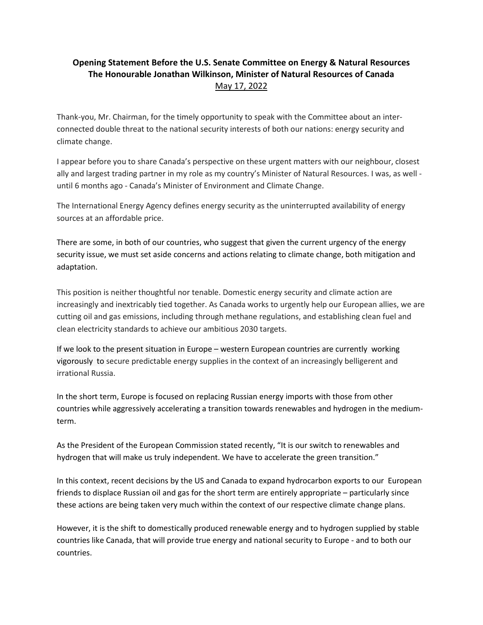## **Opening Statement Before the U.S. Senate Committee on Energy & Natural Resources The Honourable Jonathan Wilkinson, Minister of Natural Resources of Canada** May 17, 2022

Thank-you, Mr. Chairman, for the timely opportunity to speak with the Committee about an interconnected double threat to the national security interests of both our nations: energy security and climate change.

I appear before you to share Canada's perspective on these urgent matters with our neighbour, closest ally and largest trading partner in my role as my country's Minister of Natural Resources. I was, as well until 6 months ago - Canada's Minister of Environment and Climate Change.

The International Energy Agency defines energy security as the uninterrupted availability of energy sources at an affordable price.

There are some, in both of our countries, who suggest that given the current urgency of the energy security issue, we must set aside concerns and actions relating to climate change, both mitigation and adaptation.

This position is neither thoughtful nor tenable. Domestic energy security and climate action are increasingly and inextricably tied together. As Canada works to urgently help our European allies, we are cutting oil and gas emissions, including through methane regulations, and establishing clean fuel and clean electricity standards to achieve our ambitious 2030 targets.

If we look to the present situation in Europe – western European countries are currently working vigorously to secure predictable energy supplies in the context of an increasingly belligerent and irrational Russia.

In the short term, Europe is focused on replacing Russian energy imports with those from other countries while aggressively accelerating a transition towards renewables and hydrogen in the mediumterm.

As the President of the European Commission stated recently, "It is our switch to renewables and hydrogen that will make us truly independent. We have to accelerate the green transition."

In this context, recent decisions by the US and Canada to expand hydrocarbon exports to our European friends to displace Russian oil and gas for the short term are entirely appropriate – particularly since these actions are being taken very much within the context of our respective climate change plans.

However, it is the shift to domestically produced renewable energy and to hydrogen supplied by stable countries like Canada, that will provide true energy and national security to Europe - and to both our countries.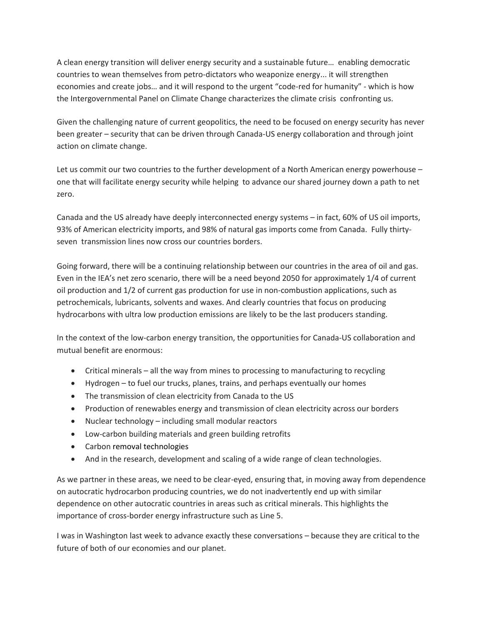A clean energy transition will deliver energy security and a sustainable future… enabling democratic countries to wean themselves from petro-dictators who weaponize energy... it will strengthen economies and create jobs… and it will respond to the urgent "code-red for humanity" - which is how the Intergovernmental Panel on Climate Change characterizes the climate crisis confronting us.

Given the challenging nature of current geopolitics, the need to be focused on energy security has never been greater – security that can be driven through Canada-US energy collaboration and through joint action on climate change.

Let us commit our two countries to the further development of a North American energy powerhouse – one that will facilitate energy security while helping to advance our shared journey down a path to net zero.

Canada and the US already have deeply interconnected energy systems – in fact, 60% of US oil imports, 93% of American electricity imports, and 98% of natural gas imports come from Canada. Fully thirtyseven transmission lines now cross our countries borders.

Going forward, there will be a continuing relationship between our countries in the area of oil and gas. Even in the IEA's net zero scenario, there will be a need beyond 2050 for approximately 1/4 of current oil production and 1/2 of current gas production for use in non-combustion applications, such as petrochemicals, lubricants, solvents and waxes. And clearly countries that focus on producing hydrocarbons with ultra low production emissions are likely to be the last producers standing.

In the context of the low-carbon energy transition, the opportunities for Canada-US collaboration and mutual benefit are enormous:

- Critical minerals all the way from mines to processing to manufacturing to recycling
- Hydrogen to fuel our trucks, planes, trains, and perhaps eventually our homes
- The transmission of clean electricity from Canada to the US
- Production of renewables energy and transmission of clean electricity across our borders
- Nuclear technology including small modular reactors
- Low-carbon building materials and green building retrofits
- Carbon removal technologies
- And in the research, development and scaling of a wide range of clean technologies.

As we partner in these areas, we need to be clear-eyed, ensuring that, in moving away from dependence on autocratic hydrocarbon producing countries, we do not inadvertently end up with similar dependence on other autocratic countries in areas such as critical minerals. This highlights the importance of cross-border energy infrastructure such as Line 5.

I was in Washington last week to advance exactly these conversations – because they are critical to the future of both of our economies and our planet.